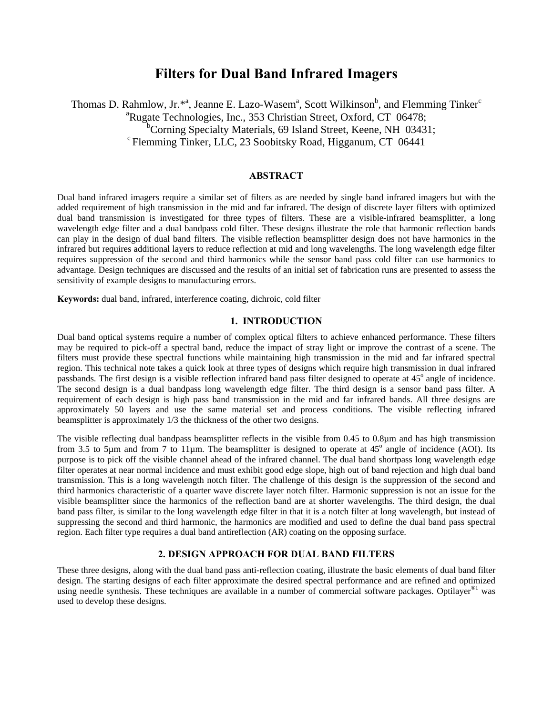# **Filters for Dual Band Infrared Imagers**

Thomas D. Rahmlow, Jr.\*<sup>a</sup>, Jeanne E. Lazo-Wasem<sup>a</sup>, Scott Wilkinson<sup>b</sup>, and Flemming Tinker<sup>c</sup> <sup>a</sup>Rugate Technologies, Inc., 353 Christian Street, Oxford, CT 06478; <sup>b</sup>Corning Specialty Materials, 69 Island Street, Keene, NH 03431;  $c$  Flemming Tinker, LLC, 23 Soobitsky Road, Higganum, CT 06441

# **ABSTRACT**

Dual band infrared imagers require a similar set of filters as are needed by single band infrared imagers but with the added requirement of high transmission in the mid and far infrared. The design of discrete layer filters with optimized dual band transmission is investigated for three types of filters. These are a visible-infrared beamsplitter, a long wavelength edge filter and a dual bandpass cold filter. These designs illustrate the role that harmonic reflection bands can play in the design of dual band filters. The visible reflection beamsplitter design does not have harmonics in the infrared but requires additional layers to reduce reflection at mid and long wavelengths. The long wavelength edge filter requires suppression of the second and third harmonics while the sensor band pass cold filter can use harmonics to advantage. Design techniques are discussed and the results of an initial set of fabrication runs are presented to assess the sensitivity of example designs to manufacturing errors.

**Keywords:** dual band, infrared, interference coating, dichroic, cold filter

### **1. INTRODUCTION**

Dual band optical systems require a number of complex optical filters to achieve enhanced performance. These filters may be required to pick-off a spectral band, reduce the impact of stray light or improve the contrast of a scene. The filters must provide these spectral functions while maintaining high transmission in the mid and far infrared spectral region. This technical note takes a quick look at three types of designs which require high transmission in dual infrared passbands. The first design is a visible reflection infrared band pass filter designed to operate at 45° angle of incidence. The second design is a dual bandpass long wavelength edge filter. The third design is a sensor band pass filter. A requirement of each design is high pass band transmission in the mid and far infrared bands. All three designs are approximately 50 layers and use the same material set and process conditions. The visible reflecting infrared beamsplitter is approximately 1/3 the thickness of the other two designs.

The visible reflecting dual bandpass beamsplitter reflects in the visible from 0.45 to 0.8µm and has high transmission from 3.5 to 5 $\mu$ m and from 7 to 11 $\mu$ m. The beamsplitter is designed to operate at 45 $^{\circ}$  angle of incidence (AOI). Its purpose is to pick off the visible channel ahead of the infrared channel. The dual band shortpass long wavelength edge filter operates at near normal incidence and must exhibit good edge slope, high out of band rejection and high dual band transmission. This is a long wavelength notch filter. The challenge of this design is the suppression of the second and third harmonics characteristic of a quarter wave discrete layer notch filter. Harmonic suppression is not an issue for the visible beamsplitter since the harmonics of the reflection band are at shorter wavelengths. The third design, the dual band pass filter, is similar to the long wavelength edge filter in that it is a notch filter at long wavelength, but instead of suppressing the second and third harmonic, the harmonics are modified and used to define the dual band pass spectral region. Each filter type requires a dual band antireflection (AR) coating on the opposing surface.

## **2. DESIGN APPROACH FOR DUAL BAND FILTERS**

These three designs, along with the dual band pass anti-reflection coating, illustrate the basic elements of dual band filter design. The starting designs of each filter approximate the desired spectral performance and are refined and optimized using needle synthesis. These techniques are available in a number of commercial software packages. Optilayer<sup>®1</sup> was used to develop these designs.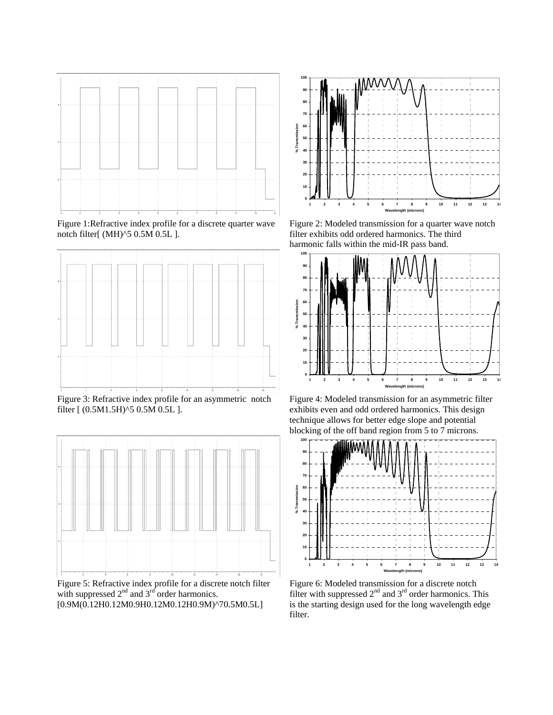

Figure 1:Refractive index profile for a discrete quarter wave notch filter[ (MH)^5 0.5M 0.5L ].



Figure 3: Refractive index profile for an asymmetric notch filter [ (0.5M1.5H)^5 0.5M 0.5L ].



Figure 5: Refractive index profile for a discrete notch filter with suppressed  $2<sup>nd</sup>$  and  $3<sup>rd</sup>$  order harmonics. [0.9M(0.12H0.12M0.9H0.12M0.12H0.9M)^70.5M0.5L]



Figure 2: Modeled transmission for a quarter wave notch filter exhibits odd ordered harmonics. The third harmonic falls within the mid-IR pass band.



Figure 4: Modeled transmission for an asymmetric filter exhibits even and odd ordered harmonics. This design technique allows for better edge slope and potential blocking of the off band region from 5 to 7 microns.



Figure 6: Modeled transmission for a discrete notch filter with suppressed  $2<sup>nd</sup>$  and  $3<sup>rd</sup>$  order harmonics. This is the starting design used for the long wavelength edge filter.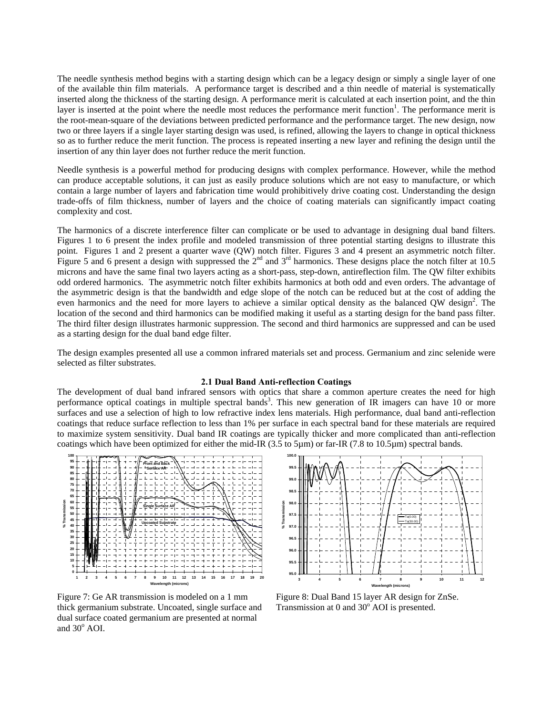The needle synthesis method begins with a starting design which can be a legacy design or simply a single layer of one of the available thin film materials. A performance target is described and a thin needle of material is systematically inserted along the thickness of the starting design. A performance merit is calculated at each insertion point, and the thin layer is inserted at the point where the needle most reduces the performance merit function<sup>1</sup>. The performance merit is the root-mean-square of the deviations between predicted performance and the performance target. The new design, now two or three layers if a single layer starting design was used, is refined, allowing the layers to change in optical thickness so as to further reduce the merit function. The process is repeated inserting a new layer and refining the design until the insertion of any thin layer does not further reduce the merit function.

Needle synthesis is a powerful method for producing designs with complex performance. However, while the method can produce acceptable solutions, it can just as easily produce solutions which are not easy to manufacture, or which contain a large number of layers and fabrication time would prohibitively drive coating cost. Understanding the design trade-offs of film thickness, number of layers and the choice of coating materials can significantly impact coating complexity and cost.

The harmonics of a discrete interference filter can complicate or be used to advantage in designing dual band filters. Figures 1 to 6 present the index profile and modeled transmission of three potential starting designs to illustrate this point. Figures 1 and 2 present a quarter wave (QW) notch filter. Figures 3 and 4 present an asymmetric notch filter. Figure 5 and 6 present a design with suppressed the  $2^{nd}$  and  $3^{rd}$  harmonics. These designs place the notch filter at 10.5 microns and have the same final two layers acting as a short-pass, step-down, antireflection film. The QW filter exhibits odd ordered harmonics. The asymmetric notch filter exhibits harmonics at both odd and even orders. The advantage of the asymmetric design is that the bandwidth and edge slope of the notch can be reduced but at the cost of adding the even harmonics and the need for more layers to achieve a similar optical density as the balanced QW design<sup>2</sup>. The location of the second and third harmonics can be modified making it useful as a starting design for the band pass filter. The third filter design illustrates harmonic suppression. The second and third harmonics are suppressed and can be used as a starting design for the dual band edge filter.

The design examples presented all use a common infrared materials set and process. Germanium and zinc selenide were selected as filter substrates.

## **2.1 Dual Band Anti-reflection Coatings**

The development of dual band infrared sensors with optics that share a common aperture creates the need for high performance optical coatings in multiple spectral bands<sup>3</sup>. This new generation of IR imagers can have 10 or more surfaces and use a selection of high to low refractive index lens materials. High performance, dual band anti-reflection coatings that reduce surface reflection to less than 1% per surface in each spectral band for these materials are required to maximize system sensitivity. Dual band IR coatings are typically thicker and more complicated than anti-reflection coatings which have been optimized for either the mid-IR (3.5 to 5µm) or far-IR (7.8 to 10.5µm) spectral bands.



Figure 7: Ge AR transmission is modeled on a 1 mm thick germanium substrate. Uncoated, single surface and dual surface coated germanium are presented at normal and  $30^{\circ}$  AOI.



Figure 8: Dual Band 15 layer AR design for ZnSe. Transmission at 0 and 30° AOI is presented.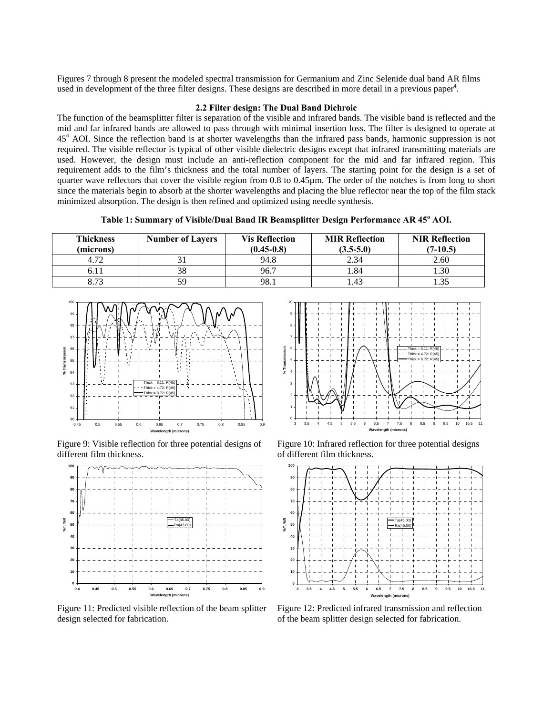Figures 7 through 8 present the modeled spectral transmission for Germanium and Zinc Selenide dual band AR films used in development of the three filter designs. These designs are described in more detail in a previous paper<sup>4</sup>.

#### **2.2 Filter design: The Dual Band Dichroic**

The function of the beamsplitter filter is separation of the visible and infrared bands. The visible band is reflected and the mid and far infrared bands are allowed to pass through with minimal insertion loss. The filter is designed to operate at 45° AOI. Since the reflection band is at shorter wavelengths than the infrared pass bands, harmonic suppression is not required. The visible reflector is typical of other visible dielectric designs except that infrared transmitting materials are used. However, the design must include an anti-reflection component for the mid and far infrared region. This requirement adds to the film's thickness and the total number of layers. The starting point for the design is a set of quarter wave reflectors that cover the visible region from 0.8 to 0.45µm. The order of the notches is from long to short since the materials begin to absorb at the shorter wavelengths and placing the blue reflector near the top of the film stack minimized absorption. The design is then refined and optimized using needle synthesis.

Table 1: Summary of Visible/Dual Band IR Beamsplitter Design Performance AR 45<sup>°</sup> AOI.

| <b>Thickness</b><br>(microns) | <b>Number of Layers</b> | <b>Vis Reflection</b><br>$(0.45-0.8)$ | <b>MIR Reflection</b><br>$(3.5-5.0)$ | <b>NIR Reflection</b><br>$(7-10.5)$ |
|-------------------------------|-------------------------|---------------------------------------|--------------------------------------|-------------------------------------|
| 4.72                          |                         | 94.8                                  | 2.34                                 | 2.60                                |
|                               | 38                      | 96.7                                  | l.84                                 | .30                                 |
| 8.73                          | 59                      | 98.1                                  | 1.43                                 |                                     |



Figure 9: Visible reflection for three potential designs of different film thickness.



Figure 11: Predicted visible reflection of the beam splitter design selected for fabrication.



Figure 10: Infrared reflection for three potential designs of different film thickness.



Figure 12: Predicted infrared transmission and reflection of the beam splitter design selected for fabrication.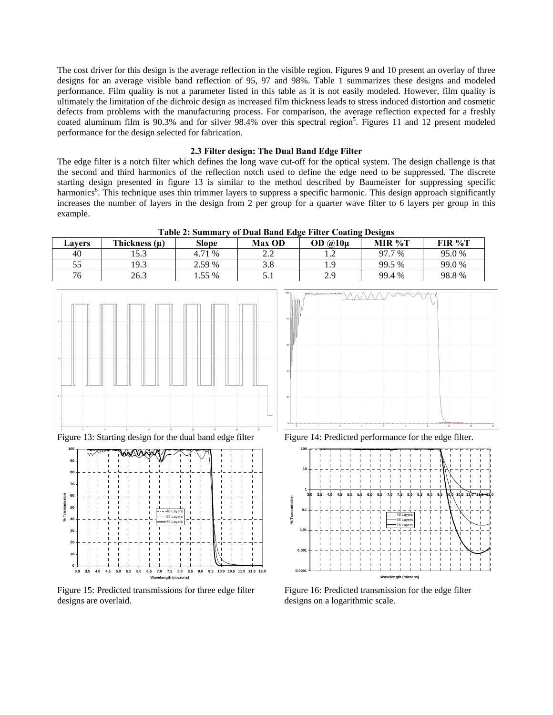The cost driver for this design is the average reflection in the visible region. Figures 9 and 10 present an overlay of three designs for an average visible band reflection of 95, 97 and 98%. Table 1 summarizes these designs and modeled performance. Film quality is not a parameter listed in this table as it is not easily modeled. However, film quality is ultimately the limitation of the dichroic design as increased film thickness leads to stress induced distortion and cosmetic defects from problems with the manufacturing process. For comparison, the average reflection expected for a freshly coated aluminum film is 90.3% and for silver 98.4% over this spectral region<sup>5</sup>. Figures 11 and 12 present modeled performance for the design selected for fabrication.

#### **2.3 Filter design: The Dual Band Edge Filter**

The edge filter is a notch filter which defines the long wave cut-off for the optical system. The design challenge is that the second and third harmonics of the reflection notch used to define the edge need to be suppressed. The discrete starting design presented in figure 13 is similar to the method described by Baumeister for suppressing specific harmonics<sup>6</sup>. This technique uses thin trimmer layers to suppress a specific harmonic. This design approach significantly increases the number of layers in the design from 2 per group for a quarter wave filter to 6 layers per group in this example.

| Table 2. Summal v of Dual Danu Euge Filter Coating Designs |                   |        |               |                      |        |        |
|------------------------------------------------------------|-------------------|--------|---------------|----------------------|--------|--------|
| <b>Lavers</b>                                              | Thickness $(\mu)$ | Slope  | <b>Max OD</b> | OD $\omega$ 10 $\mu$ | MIR %T | FIR %T |
| 40                                                         | 15.3              | 4.71 % | າ າ<br>2.Z    | . . 2                | 97.7 % | 95.0 % |
| 55                                                         | 19.3              | 2.59 % |               | 1.9                  | 99.5 % | 99.0 % |
| 76                                                         | 26.3              | .55 %  |               | 2.9                  | 99.4 % | 98.8%  |

**Table 2: Summary of Dual Band Edge Filter Coating Designs** 





Figure 15: Predicted transmissions for three edge filter designs are overlaid.



Figure 13: Starting design for the dual band edge filter Figure 14: Predicted performance for the edge filter.



Figure 16: Predicted transmission for the edge filter designs on a logarithmic scale.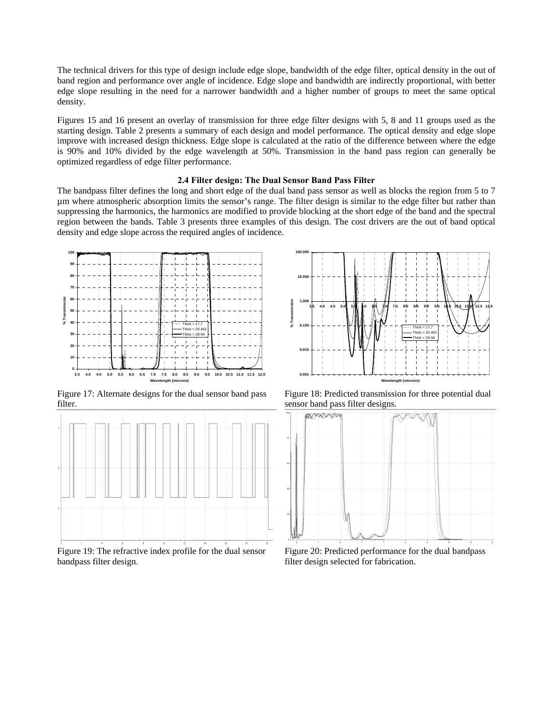The technical drivers for this type of design include edge slope, bandwidth of the edge filter, optical density in the out of band region and performance over angle of incidence. Edge slope and bandwidth are indirectly proportional, with better edge slope resulting in the need for a narrower bandwidth and a higher number of groups to meet the same optical density.

Figures 15 and 16 present an overlay of transmission for three edge filter designs with 5, 8 and 11 groups used as the starting design. Table 2 presents a summary of each design and model performance. The optical density and edge slope improve with increased design thickness. Edge slope is calculated at the ratio of the difference between where the edge is 90% and 10% divided by the edge wavelength at 50%. Transmission in the band pass region can generally be optimized regardless of edge filter performance.

#### **2.4 Filter design: The Dual Sensor Band Pass Filter**

The bandpass filter defines the long and short edge of the dual band pass sensor as well as blocks the region from 5 to 7 µm where atmospheric absorption limits the sensor's range. The filter design is similar to the edge filter but rather than suppressing the harmonics, the harmonics are modified to provide blocking at the short edge of the band and the spectral region between the bands. Table 3 presents three examples of this design. The cost drivers are the out of band optical density and edge slope across the required angles of incidence.



Figure 17: Alternate designs for the dual sensor band pass filter.



Figure 19: The refractive index profile for the dual sensor bandpass filter design.



Figure 18: Predicted transmission for three potential dual sensor band pass filter designs.



Figure 20: Predicted performance for the dual bandpass filter design selected for fabrication.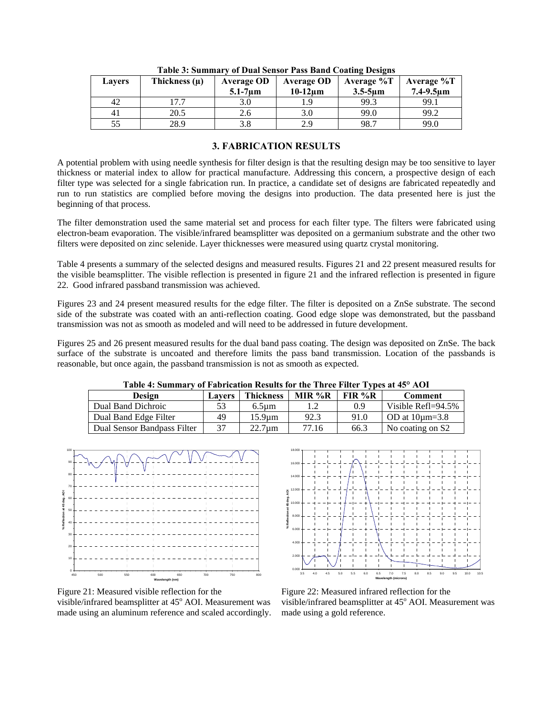| <b>Lavers</b>  | Thickness (µ) | <b>Average OD</b><br>$5.1-7 \mu m$ | <b>Average OD</b><br>$10-12$ um | Average %T<br>$3.5 - 5 \text{µm}$ | Average %T<br>$7.4 - 9.5 \mu m$ |
|----------------|---------------|------------------------------------|---------------------------------|-----------------------------------|---------------------------------|
| 42             | .7.7          | 3.0                                | 1.9                             | 99.3                              | 99.1                            |
| 4 <sub>1</sub> | 20.5          | 2.6                                | 3.0                             | 99.0                              | 99.2                            |
|                | 28.9          |                                    | 2.9                             | 98.7                              | 99.0                            |

**Table 3: Summary of Dual Sensor Pass Band Coating Designs** 

# **3. FABRICATION RESULTS**

A potential problem with using needle synthesis for filter design is that the resulting design may be too sensitive to layer thickness or material index to allow for practical manufacture. Addressing this concern, a prospective design of each filter type was selected for a single fabrication run. In practice, a candidate set of designs are fabricated repeatedly and run to run statistics are complied before moving the designs into production. The data presented here is just the beginning of that process.

The filter demonstration used the same material set and process for each filter type. The filters were fabricated using electron-beam evaporation. The visible/infrared beamsplitter was deposited on a germanium substrate and the other two filters were deposited on zinc selenide. Layer thicknesses were measured using quartz crystal monitoring.

Table 4 presents a summary of the selected designs and measured results. Figures 21 and 22 present measured results for the visible beamsplitter. The visible reflection is presented in figure 21 and the infrared reflection is presented in figure 22. Good infrared passband transmission was achieved.

Figures 23 and 24 present measured results for the edge filter. The filter is deposited on a ZnSe substrate. The second side of the substrate was coated with an anti-reflection coating. Good edge slope was demonstrated, but the passband transmission was not as smooth as modeled and will need to be addressed in future development.

Figures 25 and 26 present measured results for the dual band pass coating. The design was deposited on ZnSe. The back surface of the substrate is uncoated and therefore limits the pass band transmission. Location of the passbands is reasonable, but once again, the passband transmission is not as smooth as expected.

| Table 7. Summary of Fabrication Results for the Three Fliter Types at 49 Treft |        |                  |          |          |                        |  |
|--------------------------------------------------------------------------------|--------|------------------|----------|----------|------------------------|--|
| Design                                                                         | Lavers | <b>Thickness</b> | MIR $%R$ | $FIR\%R$ | <b>Comment</b>         |  |
| Dual Band Dichroic                                                             | 53     | $6.5 \text{µm}$  |          | 0.9      | Visible Refl=94.5%     |  |
| Dual Band Edge Filter                                                          | 49     | 15.9um           | 92.3     | 91.0     | $\sim$ OD at 10 um=3.8 |  |
| Dual Sensor Bandpass Filter                                                    | 37     | $22.7 \text{µm}$ | 77.16    | 66.3     | No coating on S2       |  |

**Table 4: Summary of Fabrication Results for the Three Filter Types at 45° AOI** 





Figure 21: Measured visible reflection for the visible/infrared beamsplitter at 45° AOI. Measurement was made using an aluminum reference and scaled accordingly.

Figure 22: Measured infrared reflection for the visible/infrared beamsplitter at 45° AOI. Measurement was made using a gold reference.